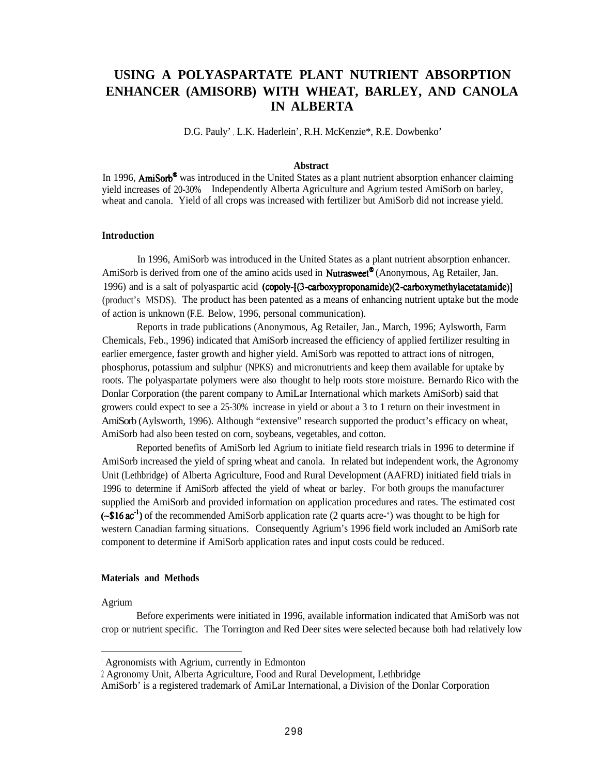# **USING A POLYASPARTATE PLANT NUTRIENT ABSORPTION ENHANCER (AMISORB) WITH WHEAT, BARLEY, AND CANOLA IN ALBERTA**

D.G. Pauly' , L.K. Haderlein', R.H. McKenzie\*, R.E. Dowbenko'

#### **Abstract**

In 1996, **AmiSorb<sup>®</sup>** was introduced in the United States as a plant nutrient absorption enhancer claiming yield increases of 20-30%. Independently Alberta Agriculture and Agrium tested AmiSorb on barley, wheat and canola. Yield of all crops was increased with fertilizer but AmiSorb did not increase yield.

#### **Introduction**

In 1996, AmiSorb was introduced in the United States as a plant nutrient absorption enhancer. AmiSorb is derived from one of the amino acids used in **Nutrasweet<sup>®</sup>** (Anonymous, Ag Retailer, Jan. 1996) and is a salt of polyaspartic acid (copoly-[(3-carboxyproponamide)(2-carboxymethylacetatamide)] (product's MSDS). The product has been patented as a means of enhancing nutrient uptake but the mode of action is unknown (F.E. Below, 1996, personal communication).

Reports in trade publications (Anonymous, Ag Retailer, Jan., March, 1996; Aylsworth, Farm Chemicals, Feb., 1996) indicated that AmiSorb increased the efficiency of applied fertilizer resulting in earlier emergence, faster growth and higher yield. AmiSorb was repotted to attract ions of nitrogen, phosphorus, potassium and sulphur (NPKS) and micronutrients and keep them available for uptake by roots. The polyaspartate polymers were also thought to help roots store moisture. Bernardo Rico with the Donlar Corporation (the parent company to AmiLar International which markets AmiSorb) said that growers could expect to see a 25-30% increase in yield or about a 3 to 1 return on their investment in AmiSorb (Aylsworth, 1996). Although "extensive" research supported the product's efficacy on wheat, AmiSorb had also been tested on corn, soybeans, vegetables, and cotton.

Reported benefits of AmiSorb led Agrium to initiate field research trials in 1996 to determine if AmiSorb increased the yield of spring wheat and canola. In related but independent work, the Agronomy Unit (Lethbridge) of Alberta Agriculture, Food and Rural Development (AAFRD) initiated field trials in 1996 to determine if AmiSorb affected the yield of wheat or barley. For both groups the manufacturer supplied the AmiSorb and provided information on application procedures and rates. The estimated cost  $(-\$16 \text{ ac}^{-1})$  of the recommended AmiSorb application rate (2 quarts acre-') was thought to be high for western Canadian farming situations. Consequently Agrium's 1996 field work included an AmiSorb rate component to determine if AmiSorb application rates and input costs could be reduced.

# **Materials and Methods**

## Agrium

Before experiments were initiated in 1996, available information indicated that AmiSorb was not crop or nutrient specific. The Torrington and Red Deer sites were selected because both had relatively low

<sup>&#</sup>x27; Agronomists with Agrium, currently in Edmonton

<sup>2</sup> Agronomy Unit, Alberta Agriculture, Food and Rural Development, Lethbridge

AmiSorb' is a registered trademark of AmiLar International, a Division of the Donlar Corporation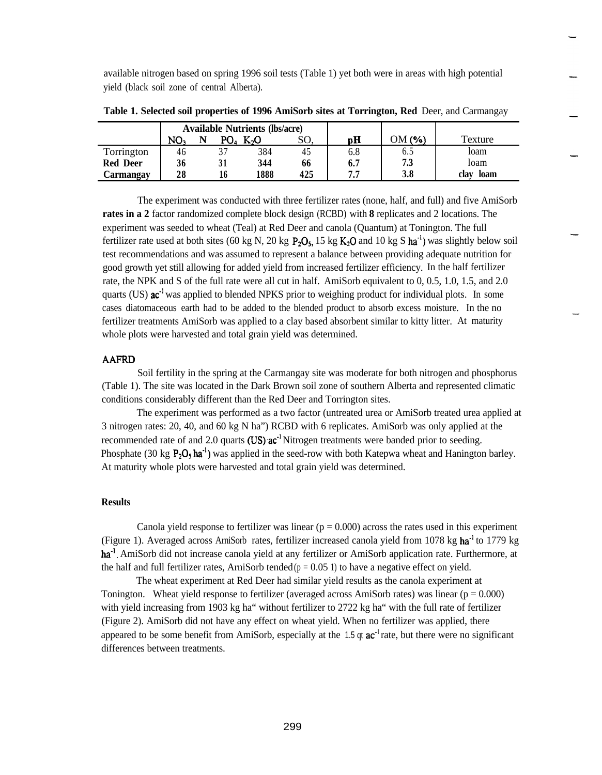available nitrogen based on spring 1996 soil tests (Table 1) yet both were in areas with high potential yield (black soil zone of central Alberta).

|                 | <b>Available Nutrients (lbs/acre)</b> |                 |                  |     |     |             |              |
|-----------------|---------------------------------------|-----------------|------------------|-----|-----|-------------|--------------|
|                 | NO.                                   | PO <sub>a</sub> | K <sub>2</sub> O | SО  | pН  | $OM($ % $)$ | Texture      |
| Torrington      | 46                                    |                 | 384              | 45  | 6.8 | 6.5         | loam         |
| <b>Red Deer</b> | 36                                    |                 | 344              | 66  | 6.7 | 7.3         | Ioam         |
| Carmangav       | 28                                    |                 | 1888             | 425 | 77  | 3.8         | loam<br>clav |

**Table 1. Selected soil properties of 1996 AmiSorb sites at Torrington, Red** Deer, and Carmangay

The experiment was conducted with three fertilizer rates (none, half, and full) and five AmiSorb **rates in a 2** factor randomized complete block design (RCBD) with **8** replicates and 2 locations. The experiment was seeded to wheat (Teal) at Red Deer and canola (Quantum) at Tonington. The full fertilizer rate used at both sites (60 kg N, 20 kg  $P_2O_5$ , 15 kg  $K_2O$  and 10 kg S ha<sup>-1</sup>) was slightly below soil test recommendations and was assumed to represent a balance between providing adequate nutrition for good growth yet still allowing for added yield from increased fertilizer efficiency. In the half fertilizer rate, the NPK and S of the full rate were all cut in half. AmiSorb equivalent to 0, 0.5, 1.0, 1.5, and 2.0 quarts (US)  $ac^{-1}$  was applied to blended NPKS prior to weighing product for individual plots. In some cases diatomaceous earth had to be added to the blended product to absorb excess moisture. In the no fertilizer treatments AmiSorb was applied to a clay based absorbent similar to kitty litter. At maturity whole plots were harvested and total grain yield was determined.

# **AAFRD**

Soil fertility in the spring at the Carmangay site was moderate for both nitrogen and phosphorus (Table 1). The site was located in the Dark Brown soil zone of southern Alberta and represented climatic conditions considerably different than the Red Deer and Torrington sites.

The experiment was performed as a two factor (untreated urea or AmiSorb treated urea applied at 3 nitrogen rates: 20, 40, and 60 kg N ha") RCBD with 6 replicates. AmiSorb was only applied at the recommended rate of and 2.0 quarts (US)  $ac^{-1}$  Nitrogen treatments were banded prior to seeding. Phosphate (30 kg  $P_2O_5 \text{ha}^{-1}$ ) was applied in the seed-row with both Katepwa wheat and Hanington barley. At maturity whole plots were harvested and total grain yield was determined.

## **Results**

Canola yield response to fertilizer was linear  $(p = 0.000)$  across the rates used in this experiment (Figure 1). Averaged across ArniSorb rates, fertilizer increased canola yield from 1078 kg ha<sup>-1</sup> to 1779 kg ha<sup>-1</sup>. AmiSorb did not increase canola yield at any fertilizer or AmiSorb application rate. Furthermore, at the half and full fertilizer rates, ArniSorb tended  $(p = 0.05 1)$  to have a negative effect on yield.

The wheat experiment at Red Deer had similar yield results as the canola experiment at Tonington. Wheat yield response to fertilizer (averaged across AmiSorb rates) was linear ( $p = 0.000$ ) with yield increasing from 1903 kg ha" without fertilizer to 2722 kg ha" with the full rate of fertilizer (Figure 2). AmiSorb did not have any effect on wheat yield. When no fertilizer was applied, there appeared to be some benefit from AmiSorb, especially at the 1.5  $\alpha$  ac<sup>-1</sup> rate, but there were no significant differences between treatments.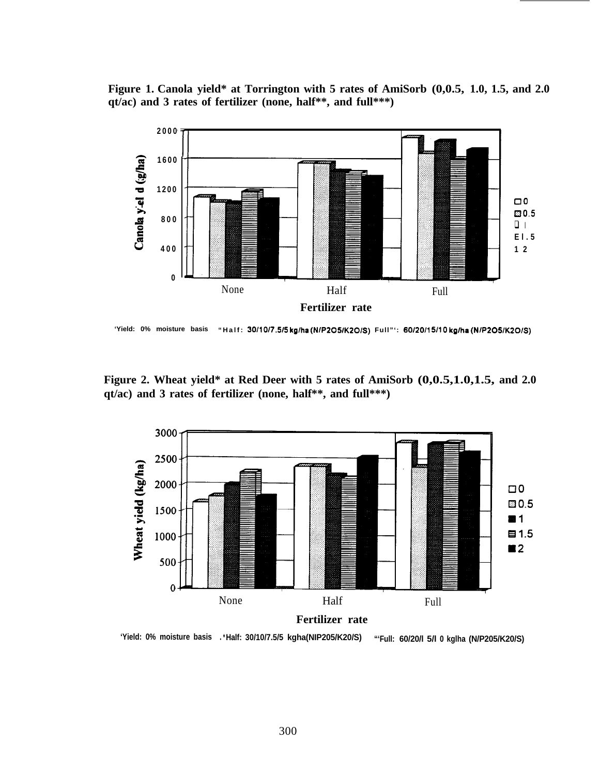**Figure 1. Canola yield\* at Torrington with 5 rates of AmiSorb (0,0.5, 1.0, 1.5, and 2.0 qt/ac) and 3 rates of fertilizer (none, half\*\*, and full\*\*\*)**



**'Yield: 0% moisture basis "Half: 30/1017.5/5 kg/ha (NIP205/K20/S) Full"': 60/20/l 5/10 kg/ha (NIP205/K20/S)**

**Figure 2. Wheat yield\* at Red Deer with 5 rates of AmiSorb (0,0.5,1.0,1.5, and 2.0 qt/ac) and 3 rates of fertilizer (none, half\*\*, and full\*\*\*)**



**'Yield: 0% moisture basis** <sup>l</sup>**\*Half: 30/10/7.5/5 kgha(NIP205/K20/S) "'Full: 60/20/l 5/l 0 kglha (N/P205/K20/S)**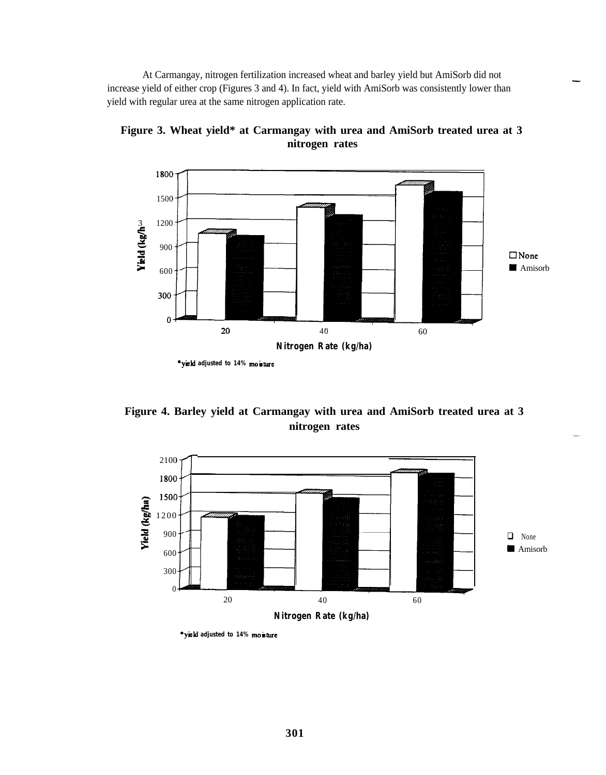At Carmangay, nitrogen fertilization increased wheat and barley yield but AmiSorb did not increase yield of either crop (Figures 3 and 4). In fact, yield with AmiSorb was consistently lower than yield with regular urea at the same nitrogen application rate.



**Figure 3. Wheat yield\* at Carmangay with urea and AmiSorb treated urea at 3 nitrogen rates**

**Figure 4. Barley yield at Carmangay with urea and AmiSorb treated urea at 3 nitrogen rates**



**<sup>\*</sup>y&i adjusted to 14% moisture**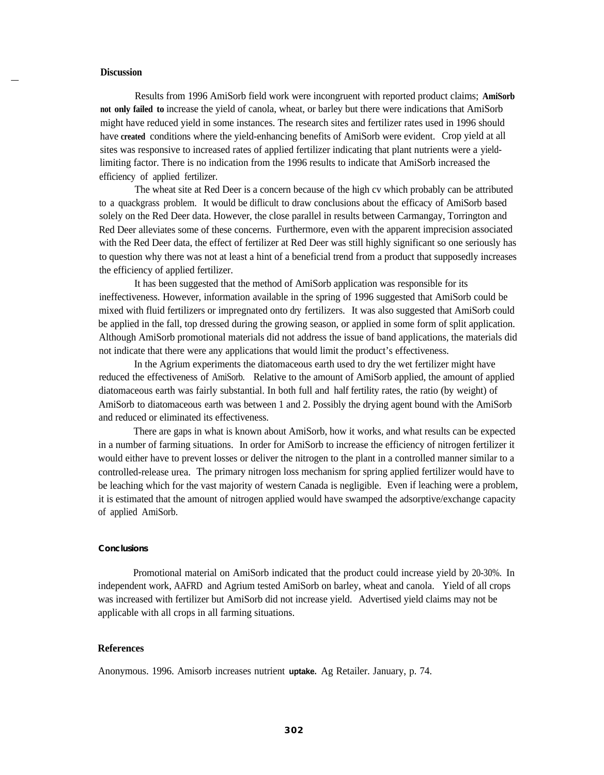## **Discussion**

Results from 1996 AmiSorb field work were incongruent with reported product claims; **AmiSorb not only failed to** increase the yield of canola, wheat, or barley but there were indications that AmiSorb might have reduced yield in some instances. The research sites and fertilizer rates used in 1996 should have **created** conditions where the yield-enhancing benefits of AmiSorb were evident. Crop yield at all sites was responsive to increased rates of applied fertilizer indicating that plant nutrients were a yieldlimiting factor. There is no indication from the 1996 results to indicate that AmiSorb increased the efficiency of applied fertilizer.

The wheat site at Red Deer is a concern because of the high cv which probably can be attributed to a quackgrass problem. It would be diflicult to draw conclusions about the efficacy of AmiSorb based solely on the Red Deer data. However, the close parallel in results between Carmangay, Torrington and Red Deer alleviates some of these concerns. Furthermore, even with the apparent imprecision associated with the Red Deer data, the effect of fertilizer at Red Deer was still highly significant so one seriously has to question why there was not at least a hint of a beneficial trend from a product that supposedly increases the efficiency of applied fertilizer.

It has been suggested that the method of AmiSorb application was responsible for its ineffectiveness. However, information available in the spring of 1996 suggested that AmiSorb could be mixed with fluid fertilizers or impregnated onto dry fertilizers. It was also suggested that AmiSorb could be applied in the fall, top dressed during the growing season, or applied in some form of split application. Although AmiSorb promotional materials did not address the issue of band applications, the materials did not indicate that there were any applications that would limit the product's effectiveness.

In the Agrium experiments the diatomaceous earth used to dry the wet fertilizer might have reduced the effectiveness of AmiSorb. Relative to the amount of AmiSorb applied, the amount of applied diatomaceous earth was fairly substantial. In both full and half fertility rates, the ratio (by weight) of AmiSorb to diatomaceous earth was between 1 and 2. Possibly the drying agent bound with the AmiSorb and reduced or eliminated its effectiveness.

There are gaps in what is known about AmiSorb, how it works, and what results can be expected in a number of farming situations. In order for AmiSorb to increase the efficiency of nitrogen fertilizer it would either have to prevent losses or deliver the nitrogen to the plant in a controlled manner similar to a controlled-release urea. The primary nitrogen loss mechanism for spring applied fertilizer would have to be leaching which for the vast majority of western Canada is negligible. Even if leaching were a problem, it is estimated that the amount of nitrogen applied would have swamped the adsorptive/exchange capacity of applied AmiSorb.

#### **Conclusions**

Promotional material on AmiSorb indicated that the product could increase yield by 20-30%. In independent work, AAFRD and Agrium tested AmiSorb on barley, wheat and canola. Yield of all crops was increased with fertilizer but AmiSorb did not increase yield. Advertised yield claims may not be applicable with all crops in all farming situations.

#### **References**

Anonymous. 1996. Amisorb increases nutrient **uptake.** Ag Retailer. January, p. 74.